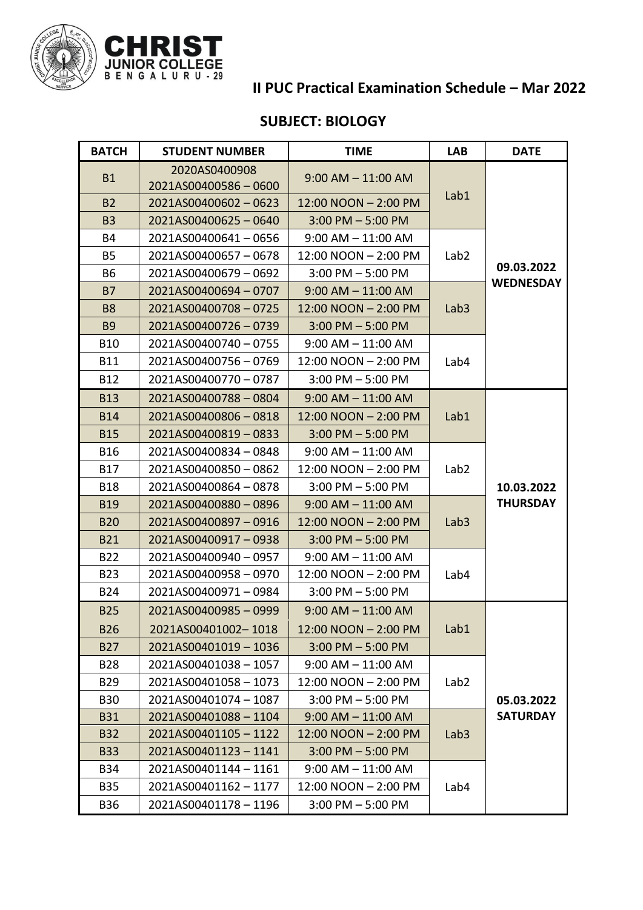

## **II PUC Practical Examination Schedule – Mar 2022**

## **SUBJECT: BIOLOGY**

| <b>BATCH</b> | <b>STUDENT NUMBER</b>                | <b>TIME</b>            | <b>LAB</b>       | <b>DATE</b>                    |
|--------------|--------------------------------------|------------------------|------------------|--------------------------------|
| <b>B1</b>    | 2020AS0400908<br>2021AS00400586-0600 | $9:00$ AM $- 11:00$ AM | Lab1             | 09.03.2022<br><b>WEDNESDAY</b> |
| <b>B2</b>    | 2021AS00400602-0623                  | 12:00 NOON - 2:00 PM   |                  |                                |
| <b>B3</b>    | 2021AS00400625-0640                  | $3:00$ PM $-5:00$ PM   |                  |                                |
| <b>B4</b>    | 2021AS00400641-0656                  | $9:00$ AM $-11:00$ AM  | Lab <sub>2</sub> |                                |
| <b>B5</b>    | 2021AS00400657-0678                  | 12:00 NOON - 2:00 PM   |                  |                                |
| <b>B6</b>    | 2021AS00400679-0692                  | $3:00$ PM $-5:00$ PM   |                  |                                |
| <b>B7</b>    | 2021AS00400694-0707                  | $9:00$ AM $-11:00$ AM  | Lab <sub>3</sub> |                                |
| <b>B8</b>    | 2021AS00400708-0725                  | 12:00 NOON - 2:00 PM   |                  |                                |
| <b>B9</b>    | 2021AS00400726-0739                  | $3:00$ PM $-5:00$ PM   |                  |                                |
| <b>B10</b>   | 2021AS00400740-0755                  | $9:00$ AM $-11:00$ AM  | Lab4             |                                |
| <b>B11</b>   | 2021AS00400756-0769                  | 12:00 NOON - 2:00 PM   |                  |                                |
| <b>B12</b>   | 2021AS00400770-0787                  | $3:00$ PM $-5:00$ PM   |                  |                                |
| <b>B13</b>   | 2021AS00400788-0804                  | $9:00$ AM $- 11:00$ AM |                  | 10.03.2022<br><b>THURSDAY</b>  |
| <b>B14</b>   | 2021AS00400806-0818                  | $12:00 NQON - 2:00 PM$ | Lab1             |                                |
| <b>B15</b>   | 2021AS00400819-0833                  | $3:00$ PM $-5:00$ PM   |                  |                                |
| <b>B16</b>   | 2021AS00400834-0848                  | $9:00$ AM $-11:00$ AM  | Lab <sub>2</sub> |                                |
| <b>B17</b>   | 2021AS00400850-0862                  | 12:00 NOON - 2:00 PM   |                  |                                |
| <b>B18</b>   | 2021AS00400864 - 0878                | $3:00$ PM $-5:00$ PM   |                  |                                |
| <b>B19</b>   | 2021AS00400880-0896                  | $9:00$ AM $-$ 11:00 AM | Lab <sub>3</sub> |                                |
| <b>B20</b>   | 2021AS00400897-0916                  | 12:00 NOON - 2:00 PM   |                  |                                |
| <b>B21</b>   | 2021AS00400917-0938                  | $3:00$ PM $-5:00$ PM   |                  |                                |
| <b>B22</b>   | 2021AS00400940-0957                  | $9:00$ AM $-11:00$ AM  | Lab4             |                                |
| <b>B23</b>   | 2021AS00400958-0970                  | 12:00 NOON - 2:00 PM   |                  |                                |
| <b>B24</b>   | 2021AS00400971-0984                  | $3:00$ PM $-5:00$ PM   |                  |                                |
| <b>B25</b>   | 2021AS00400985-0999                  | $9:00$ AM $-11:00$ AM  | Lab1             | 05.03.2022<br><b>SATURDAY</b>  |
| <b>B26</b>   | 2021AS00401002-1018                  | 12:00 NOON - 2:00 PM   |                  |                                |
| <b>B27</b>   | 2021AS00401019-1036                  | $3:00$ PM $-5:00$ PM   |                  |                                |
| <b>B28</b>   | 2021AS00401038-1057                  | $9:00$ AM $- 11:00$ AM | Lab <sub>2</sub> |                                |
| B29          | 2021AS00401058-1073                  | 12:00 NOON - 2:00 PM   |                  |                                |
| <b>B30</b>   | 2021AS00401074-1087                  | $3:00$ PM $-5:00$ PM   |                  |                                |
| <b>B31</b>   | 2021AS00401088-1104                  | $9:00$ AM $- 11:00$ AM | Lab <sub>3</sub> |                                |
| <b>B32</b>   | 2021AS00401105-1122                  | 12:00 NOON - 2:00 PM   |                  |                                |
| <b>B33</b>   | 2021AS00401123-1141                  | $3:00$ PM $-5:00$ PM   |                  |                                |
| B34          | 2021AS00401144-1161                  | $9:00$ AM $-11:00$ AM  | Lab4             |                                |
| <b>B35</b>   | 2021AS00401162-1177                  | 12:00 NOON - 2:00 PM   |                  |                                |
| B36          | 2021AS00401178-1196                  | $3:00$ PM $-5:00$ PM   |                  |                                |